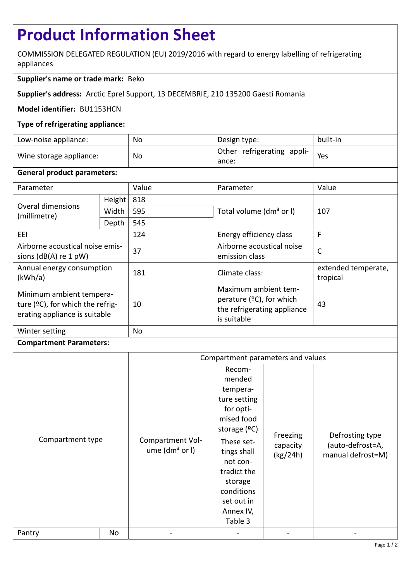# **Product Information Sheet**

COMMISSION DELEGATED REGULATION (EU) 2019/2016 with regard to energy labelling of refrigerating appliances

## **Supplier's name or trade mark:** Beko

**Supplier's address:** Arctic Eprel Support, 13 DECEMBRIE, 210 135200 Gaesti Romania

#### **Model identifier:** BU1153HCN

#### **Type of refrigerating appliance:**

| Low-noise appliance:    | No | Design type:                        | built-in |
|-------------------------|----|-------------------------------------|----------|
| Wine storage appliance: | No | Other refrigerating appli-<br>ance: | Yes      |

#### **General product parameters:**

| Parameter                                                                                     |        | Value | Parameter                                                                                         | Value                           |
|-----------------------------------------------------------------------------------------------|--------|-------|---------------------------------------------------------------------------------------------------|---------------------------------|
| Overal dimensions<br>(millimetre)                                                             | Height | 818   |                                                                                                   | 107                             |
|                                                                                               | Width  | 595   | Total volume (dm <sup>3</sup> or I)                                                               |                                 |
|                                                                                               | Depth  | 545   |                                                                                                   |                                 |
| EEI                                                                                           |        | 124   | Energy efficiency class                                                                           | F                               |
| Airborne acoustical noise emis-<br>sions $(dB(A)$ re 1 pW)                                    |        | 37    | Airborne acoustical noise<br>$\mathsf{C}$<br>emission class                                       |                                 |
| Annual energy consumption<br>(kWh/a)                                                          |        | 181   | Climate class:                                                                                    | extended temperate,<br>tropical |
| Minimum ambient tempera-<br>ture (°C), for which the refrig-<br>erating appliance is suitable |        | 10    | Maximum ambient tem-<br>perature $(°C)$ , for which<br>the refrigerating appliance<br>is suitable | 43                              |
| Winter setting                                                                                |        | No    |                                                                                                   |                                 |

### **Compartment Parameters:**

|                  |    | Compartment parameters and values      |                                                                                                                                                                                                                  |                                  |                                                          |
|------------------|----|----------------------------------------|------------------------------------------------------------------------------------------------------------------------------------------------------------------------------------------------------------------|----------------------------------|----------------------------------------------------------|
| Compartment type |    | Compartment Vol-<br>ume $(dm3$ or $I)$ | Recom-<br>mended<br>tempera-<br>ture setting<br>for opti-<br>mised food<br>storage $(°C)$<br>These set-<br>tings shall<br>not con-<br>tradict the<br>storage<br>conditions<br>set out in<br>Annex IV,<br>Table 3 | Freezing<br>capacity<br>(kg/24h) | Defrosting type<br>(auto-defrost=A,<br>manual defrost=M) |
| Pantry           | No |                                        |                                                                                                                                                                                                                  |                                  |                                                          |